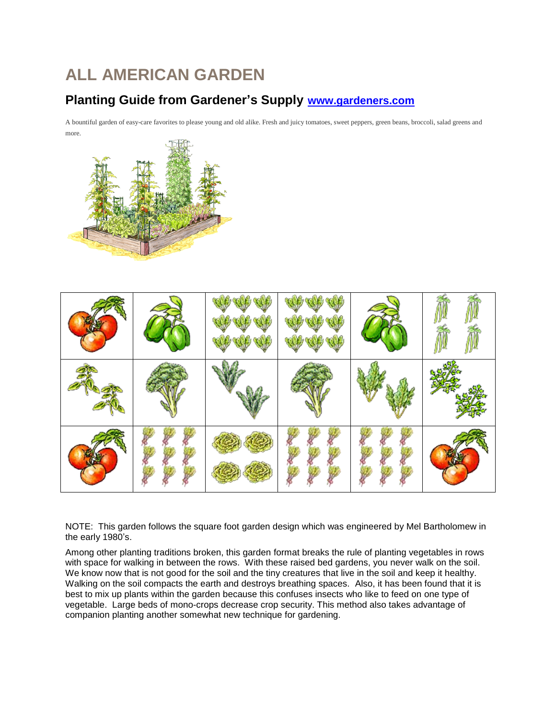# **ALL AMERICAN GARDEN**

### **Planting Guide from Gardener's Supply [www.gardeners.com](http://www.gardeners.com/)**

A bountiful garden of easy-care favorites to please young and old alike. Fresh and juicy tomatoes, sweet peppers, green beans, broccoli, salad greens and more.





NOTE: This garden follows the square foot garden design which was engineered by Mel Bartholomew in the early 1980's.

Among other planting traditions broken, this garden format breaks the rule of planting vegetables in rows with space for walking in between the rows. With these raised bed gardens, you never walk on the soil. We know now that is not good for the soil and the tiny creatures that live in the soil and keep it healthy. Walking on the soil compacts the earth and destroys breathing spaces. Also, it has been found that it is best to mix up plants within the garden because this confuses insects who like to feed on one type of vegetable. Large beds of mono-crops decrease crop security. This method also takes advantage of companion planting another somewhat new technique for gardening.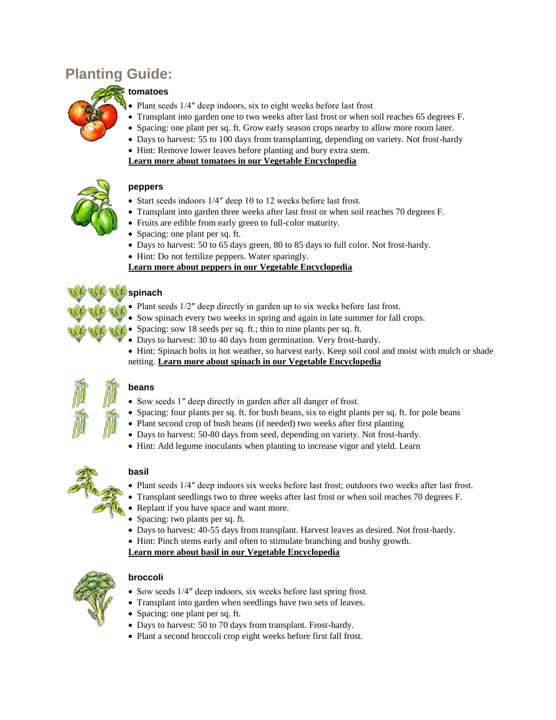## **Planting Guide:**

#### **tomatoes**

- Plant seeds 1/4″ deep indoors, six to eight weeks before last frost
- Transplant into garden one to two weeks after last frost or when soil reaches 65 degrees F.
- Spacing: one plant per sq. ft. Grow early season crops nearby to allow more room later.
- Days to harvest: 55 to 100 days from transplanting, depending on variety. Not frost-hardy
- Hint: Remove lower leaves before planting and bury extra stem.
- **[Learn more about tomatoes in our Vegetable Encyclopedia](http://www.gardeners.com/on/demandware.store/Sites-Gardeners-Site/default/Page-Encyclopedia?asset=7184)**



#### **peppers**

- Start seeds indoors 1/4" deep 10 to 12 weeks before last frost.
- Transplant into garden three weeks after last frost or when soil reaches 70 degrees F.
- Fruits are edible from early green to full-color maturity.
- Spacing: one plant per sq. ft.
- Days to harvest: 50 to 65 days green, 80 to 85 days to full color. Not frost-hardy.
- Hint: Do not fertilize peppers. Water sparingly.

#### **[Learn more about peppers in our Vegetable Encyclopedia](http://www.gardeners.com/on/demandware.store/Sites-Gardeners-Site/default/Page-Encyclopedia?asset=7177)**

# **spinach**

- Plant seeds  $1/2$ " deep directly in garden up to six weeks before last frost.
- Sow spinach every two weeks in spring and again in late summer for fall crops.
- Spacing: sow 18 seeds per sq. ft.; thin to nine plants per sq. ft.
- Days to harvest: 30 to 40 days from germination. Very frost-hardy.
- Hint: Spinach bolts in hot weather, so harvest early. Keep soil cool and moist with mulch or shade netting. **[Learn more about spinach in our Vegetable Encyclopedia](http://www.gardeners.com/on/demandware.store/Sites-Gardeners-Site/default/Page-Encyclopedia?asset=7180)**



#### **beans**

- Sow seeds 1″ deep directly in garden after all danger of frost.
- Spacing: four plants per sq. ft. for bush beans, six to eight plants per sq. ft. for pole beans
- Plant second crop of bush beans (if needed) two weeks after first planting
- Days to harvest: 50-80 days from seed, depending on variety. Not frost-hardy.
- Hint: Add legume inoculants when planting to increase vigor and yield. Learn



#### **basil**

- Plant seeds 1/4" deep indoors six weeks before last frost; outdoors two weeks after last frost.
- Transplant seedlings two to three weeks after last frost or when soil reaches 70 degrees F.
- Replant if you have space and want more.
- Spacing: two plants per sq. ft.
- Days to harvest: 40-55 days from transplant. Harvest leaves as desired. Not frost-hardy.
- Hint: Pinch stems early and often to stimulate branching and bushy growth.

**[Learn more about basil in our Vegetable Encyclopedia](http://www.gardeners.com/on/demandware.store/Sites-Gardeners-Site/default/Page-Encyclopedia?asset=7155)**



#### **broccoli**

- Sow seeds 1/4" deep indoors, six weeks before last spring frost.
- Transplant into garden when seedlings have two sets of leaves.
- Spacing: one plant per sq. ft.
- Days to harvest: 50 to 70 days from transplant. Frost-hardy.
- Plant a second broccoli crop eight weeks before first fall frost.